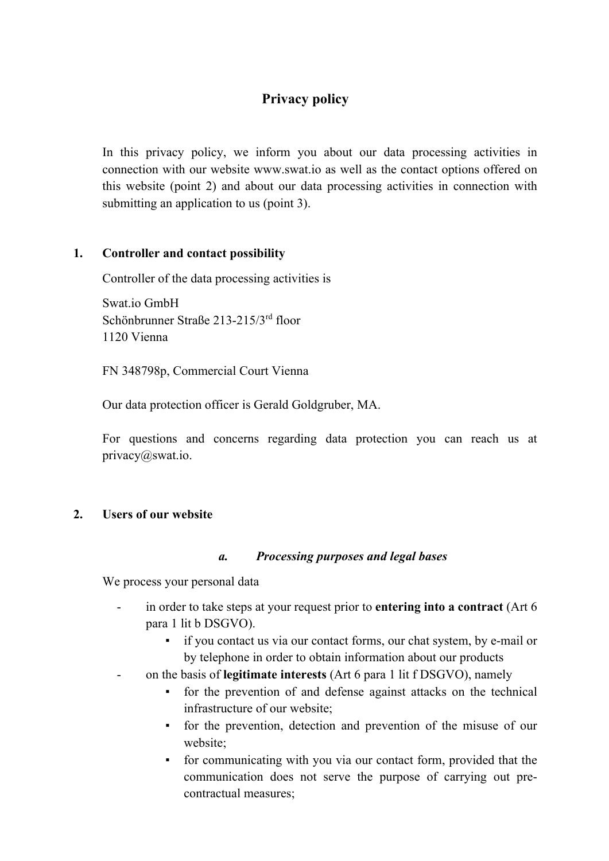# **Privacy policy**

In this privacy policy, we inform you about our data processing activities in connection with our website www.swat.io as well as the contact options offered on this website (point 2) and about our data processing activities in connection with submitting an application to us (point 3).

### **1. Controller and contact possibility**

Controller of the data processing activities is

Swat.io GmbH Schönbrunner Straße 213-215/3rd floor 1120 Vienna

FN 348798p, Commercial Court Vienna

Our data protection officer is Gerald Goldgruber, MA.

For questions and concerns regarding data protection you can reach us at privacy@swat.io.

#### **2. Users of our website**

#### *a. Processing purposes and legal bases*

We process your personal data

- in order to take steps at your request prior to **entering into a contract** (Art 6 para 1 lit b DSGVO).
	- if you contact us via our contact forms, our chat system, by e-mail or by telephone in order to obtain information about our products
- on the basis of **legitimate interests** (Art 6 para 1 lit f DSGVO), namely
	- for the prevention of and defense against attacks on the technical infrastructure of our website;
	- for the prevention, detection and prevention of the misuse of our website;
	- for communicating with you via our contact form, provided that the communication does not serve the purpose of carrying out precontractual measures;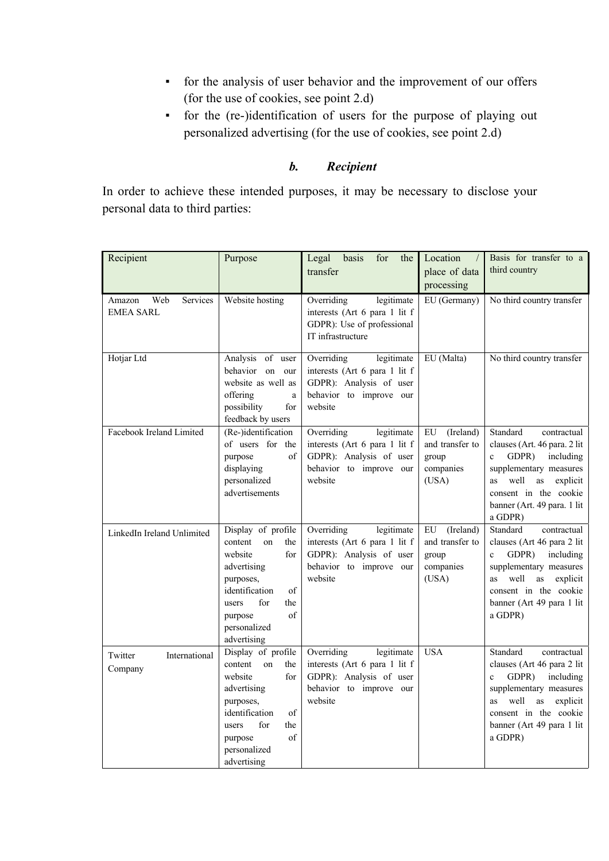- for the analysis of user behavior and the improvement of our offers (for the use of cookies, see point 2.d)
- for the (re-)identification of users for the purpose of playing out personalized advertising (for the use of cookies, see point 2.d)

# *b. Recipient*

In order to achieve these intended purposes, it may be necessary to disclose your personal data to third parties:

| Recipient                                     | Purpose                                                                                                                                                                                 | Legal basis<br>for<br>the<br>transfer                                                                                      | Location<br>$\sqrt{2}$<br>place of data<br>processing             | Basis for transfer to a<br>third country                                                                                                                                                                                          |
|-----------------------------------------------|-----------------------------------------------------------------------------------------------------------------------------------------------------------------------------------------|----------------------------------------------------------------------------------------------------------------------------|-------------------------------------------------------------------|-----------------------------------------------------------------------------------------------------------------------------------------------------------------------------------------------------------------------------------|
| Services<br>Web<br>Amazon<br><b>EMEA SARL</b> | Website hosting                                                                                                                                                                         | Overriding<br>legitimate<br>interests (Art 6 para 1 lit f<br>GDPR): Use of professional<br>IT infrastructure               | EU (Germany)                                                      | No third country transfer                                                                                                                                                                                                         |
| Hotjar Ltd                                    | Analysis of user<br>behavior on our<br>website as well as<br>offering<br>$\rm{a}$<br>possibility<br>for<br>feedback by users                                                            | Overriding<br>legitimate<br>interests (Art 6 para 1 lit f<br>GDPR): Analysis of user<br>behavior to improve our<br>website | EU (Malta)                                                        | No third country transfer                                                                                                                                                                                                         |
| Facebook Ireland Limited                      | (Re-)identification<br>of users for the<br>of<br>purpose<br>displaying<br>personalized<br>advertisements                                                                                | Overriding<br>legitimate<br>interests (Art 6 para 1 lit f<br>GDPR): Analysis of user<br>behavior to improve our<br>website | (Ireland)<br>EU<br>and transfer to<br>group<br>companies<br>(USA) | Standard<br>contractual<br>clauses (Art. 46 para. 2 lit<br>GDPR)<br>including<br>$\mathbf{c}$<br>supplementary measures<br>well<br>as<br>explicit<br><b>as</b><br>consent in the cookie<br>banner (Art. 49 para. 1 lit<br>a GDPR) |
| LinkedIn Ireland Unlimited                    | Display of profile<br>content<br>on<br>the<br>website<br>for<br>advertising<br>purposes,<br>identification<br>of<br>for<br>the<br>users<br>of<br>purpose<br>personalized<br>advertising | Overriding<br>legitimate<br>interests (Art 6 para 1 lit f<br>GDPR): Analysis of user<br>behavior to improve our<br>website | EU<br>(Ireland)<br>and transfer to<br>group<br>companies<br>(USA) | Standard<br>contractual<br>clauses (Art 46 para 2 lit<br>GDPR)<br>including<br>$\mathbf{c}$<br>supplementary measures<br>as<br>well<br>explicit<br><b>as</b><br>consent in the cookie<br>banner (Art 49 para 1 lit<br>a GDPR)     |
| International<br>Twitter<br>Company           | Display of profile<br>content<br>on<br>the<br>website<br>for<br>advertising<br>purposes,<br>identification<br>of<br>for<br>users<br>the<br>of<br>purpose<br>personalized<br>advertising | Overriding<br>legitimate<br>interests (Art 6 para 1 lit f<br>GDPR): Analysis of user<br>behavior to improve our<br>website | <b>USA</b>                                                        | Standard<br>contractual<br>clauses (Art 46 para 2 lit<br>GDPR)<br>including<br>$\mathbf{c}$<br>supplementary measures<br>well as<br>explicit<br>as<br>consent in the cookie<br>banner (Art 49 para 1 lit<br>a GDPR)               |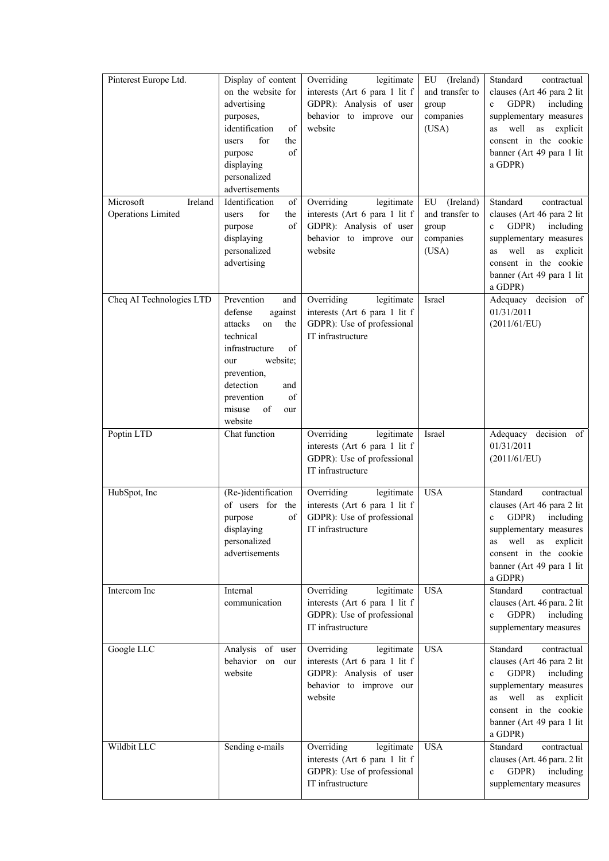| Pinterest Europe Ltd.<br>Microsoft<br>Ireland<br><b>Operations Limited</b> | Display of content<br>on the website for<br>advertising<br>purposes,<br>identification<br>of<br>for<br>the<br>users<br>of<br>purpose<br>displaying<br>personalized<br>advertisements<br>Identification<br>of<br>for<br>users<br>the<br>of<br>purpose<br>displaying<br>personalized | Overriding<br>legitimate<br>interests (Art 6 para 1 lit f<br>GDPR): Analysis of user<br>behavior to improve our<br>website<br>Overriding<br>legitimate<br>interests (Art 6 para 1 lit f<br>GDPR): Analysis of user<br>behavior to improve our<br>website | (Ireland)<br>EU<br>and transfer to<br>group<br>companies<br>(USA)<br>(Ireland)<br>${\rm EU}$<br>and transfer to<br>group<br>companies<br>(USA) | Standard<br>contractual<br>clauses (Art 46 para 2 lit<br>GDPR)<br>including<br>$\mathbf{c}$<br>supplementary measures<br>well<br>as<br>explicit<br>as<br>consent in the cookie<br>banner (Art 49 para 1 lit<br>a GDPR)<br>Standard<br>contractual<br>clauses (Art 46 para 2 lit<br>GDPR)<br>including<br>$\mathbf{c}$<br>supplementary measures<br>well<br>as<br>as<br>explicit |
|----------------------------------------------------------------------------|------------------------------------------------------------------------------------------------------------------------------------------------------------------------------------------------------------------------------------------------------------------------------------|----------------------------------------------------------------------------------------------------------------------------------------------------------------------------------------------------------------------------------------------------------|------------------------------------------------------------------------------------------------------------------------------------------------|---------------------------------------------------------------------------------------------------------------------------------------------------------------------------------------------------------------------------------------------------------------------------------------------------------------------------------------------------------------------------------|
|                                                                            | advertising                                                                                                                                                                                                                                                                        |                                                                                                                                                                                                                                                          |                                                                                                                                                | consent in the cookie<br>banner (Art 49 para 1 lit<br>a GDPR)                                                                                                                                                                                                                                                                                                                   |
| Cheq AI Technologies LTD                                                   | Prevention<br>and<br>defense<br>against<br>attacks<br>the<br>on<br>technical<br>of<br>infrastructure<br>website;<br>our<br>prevention,<br>detection<br>and<br>of<br>prevention<br>misuse<br>of<br>our<br>website                                                                   | Overriding<br>legitimate<br>interests (Art 6 para 1 lit f<br>GDPR): Use of professional<br>IT infrastructure                                                                                                                                             | Israel                                                                                                                                         | Adequacy decision of<br>01/31/2011<br>(2011/61/EU)                                                                                                                                                                                                                                                                                                                              |
| Poptin LTD                                                                 | Chat function                                                                                                                                                                                                                                                                      | Overriding<br>legitimate<br>interests (Art 6 para 1 lit f<br>GDPR): Use of professional<br>IT infrastructure                                                                                                                                             | Israel                                                                                                                                         | Adequacy decision of<br>01/31/2011<br>(2011/61/EU)                                                                                                                                                                                                                                                                                                                              |
| HubSpot, Inc                                                               | (Re-)identification<br>of users for the<br>purpose<br>of<br>displaying<br>personalized<br>advertisements                                                                                                                                                                           | Overriding<br>legitimate<br>interests (Art 6 para 1 lit f<br>GDPR): Use of professional<br>IT infrastructure                                                                                                                                             | <b>USA</b>                                                                                                                                     | Standard<br>contractual<br>clauses (Art 46 para 2 lit<br>GDPR)<br>including<br>$\mathbf c$<br>supplementary measures<br>as well as explicit<br>consent in the cookie<br>banner (Art 49 para 1 lit<br>a GDPR)                                                                                                                                                                    |
| Intercom Inc                                                               | Internal<br>communication                                                                                                                                                                                                                                                          | Overriding<br>legitimate<br>interests (Art 6 para 1 lit f<br>GDPR): Use of professional<br>IT infrastructure                                                                                                                                             | <b>USA</b>                                                                                                                                     | Standard<br>contractual<br>clauses (Art. 46 para. 2 lit<br>$c$ GDPR)<br>including<br>supplementary measures                                                                                                                                                                                                                                                                     |
| Google LLC                                                                 | Analysis of user<br>behavior<br>on our<br>website                                                                                                                                                                                                                                  | Overriding<br>legitimate<br>interests (Art 6 para 1 lit f<br>GDPR): Analysis of user<br>behavior to improve our<br>website                                                                                                                               | <b>USA</b>                                                                                                                                     | Standard<br>contractual<br>clauses (Art 46 para 2 lit<br>c GDPR) including<br>supplementary measures<br>as well as explicit<br>consent in the cookie<br>banner (Art 49 para 1 lit<br>a GDPR)                                                                                                                                                                                    |
| Wildbit LLC                                                                | Sending e-mails                                                                                                                                                                                                                                                                    | Overriding<br>legitimate<br>interests (Art 6 para 1 lit f<br>GDPR): Use of professional<br>IT infrastructure                                                                                                                                             | <b>USA</b>                                                                                                                                     | Standard<br>contractual<br>clauses (Art. 46 para. 2 lit<br>including<br>c GDPR)<br>supplementary measures                                                                                                                                                                                                                                                                       |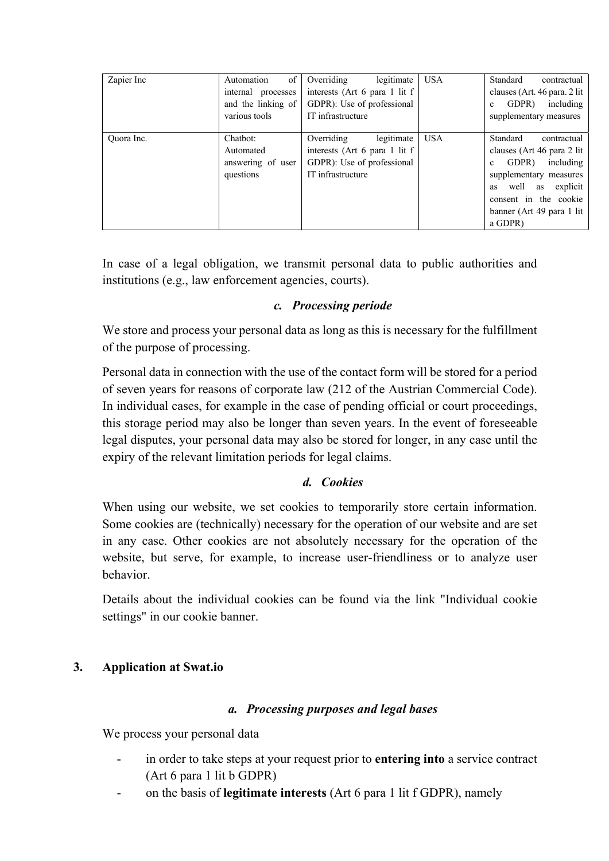| Zapier Inc | of<br>Automation<br>internal processes<br>and the linking of<br>various tools | legitimate<br>Overriding<br>interests (Art 6 para 1 lit f<br>GDPR): Use of professional<br>IT infrastructure | <b>USA</b> | Standard<br>contractual<br>clauses (Art. 46 para. 2 lit)<br>GDPR)<br>including<br>$\mathbf{c}$<br>supplementary measures                                                                                                        |
|------------|-------------------------------------------------------------------------------|--------------------------------------------------------------------------------------------------------------|------------|---------------------------------------------------------------------------------------------------------------------------------------------------------------------------------------------------------------------------------|
| Ouora Inc. | Chatbot:<br>Automated<br>answering of user<br>questions                       | legitimate<br>Overriding<br>interests (Art 6 para 1 lit f<br>GDPR): Use of professional<br>IT infrastructure | <b>USA</b> | Standard<br>contractual<br>clauses (Art 46 para 2 lit)<br>including<br>GDPR)<br>$\mathbf{c}$<br>supplementary measures<br>well<br>explicit<br>as<br><b>as</b><br>consent in the cookie<br>banner (Art 49 para 1 lit)<br>a GDPR) |

In case of a legal obligation, we transmit personal data to public authorities and institutions (e.g., law enforcement agencies, courts).

#### *c. Processing periode*

We store and process your personal data as long as this is necessary for the fulfillment of the purpose of processing.

Personal data in connection with the use of the contact form will be stored for a period of seven years for reasons of corporate law (212 of the Austrian Commercial Code). In individual cases, for example in the case of pending official or court proceedings, this storage period may also be longer than seven years. In the event of foreseeable legal disputes, your personal data may also be stored for longer, in any case until the expiry of the relevant limitation periods for legal claims.

## *d. Cookies*

When using our website, we set cookies to temporarily store certain information. Some cookies are (technically) necessary for the operation of our website and are set in any case. Other cookies are not absolutely necessary for the operation of the website, but serve, for example, to increase user-friendliness or to analyze user behavior.

Details about the individual cookies can be found via the link "Individual cookie settings" in our cookie banner.

## **3. Application at Swat.io**

#### *a. Processing purposes and legal bases*

We process your personal data

- in order to take steps at your request prior to **entering into** a service contract (Art 6 para 1 lit b GDPR)
- on the basis of **legitimate interests** (Art 6 para 1 lit f GDPR), namely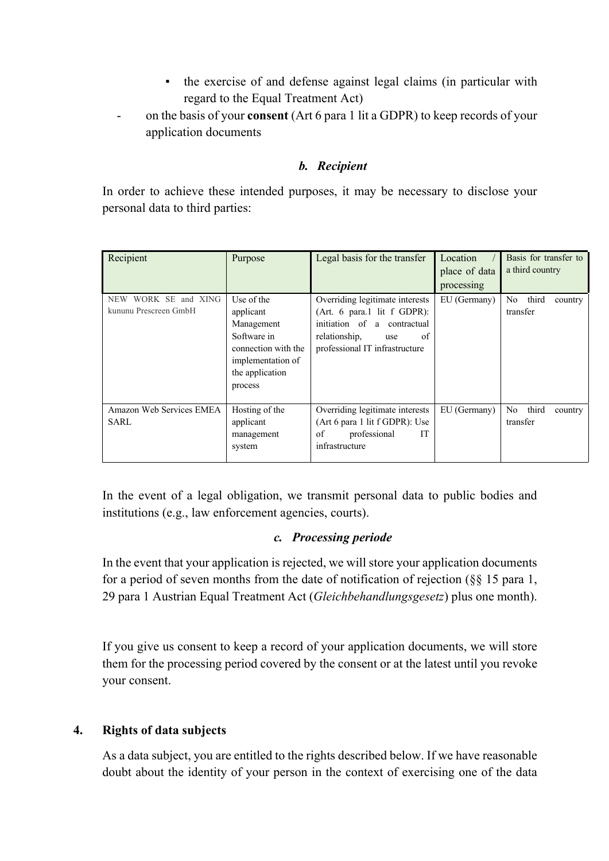- the exercise of and defense against legal claims (in particular with regard to the Equal Treatment Act)
- on the basis of your **consent** (Art 6 para 1 lit a GDPR) to keep records of your application documents

## *b. Recipient*

In order to achieve these intended purposes, it may be necessary to disclose your personal data to third parties:

| Recipient                                               | Purpose                                                                                                                        | Legal basis for the transfer                                                                                                                                    | Location<br>place of data<br>processing | Basis for transfer to<br>a third country |
|---------------------------------------------------------|--------------------------------------------------------------------------------------------------------------------------------|-----------------------------------------------------------------------------------------------------------------------------------------------------------------|-----------------------------------------|------------------------------------------|
| WORK SE and XING<br><b>NEW</b><br>kununu Prescreen GmbH | Use of the<br>applicant<br>Management<br>Software in<br>connection with the<br>implementation of<br>the application<br>process | Overriding legitimate interests<br>(Art. 6 para.1 lit $f$ GDPR):<br>initiation of a contractual<br>of<br>relationship,<br>use<br>professional IT infrastructure | EU (Germany)                            | No third<br>country<br>transfer          |
| Amazon Web Services EMEA<br>SARL                        | Hosting of the<br>applicant<br>management<br>system                                                                            | Overriding legitimate interests<br>(Art 6 para 1 lit f GDPR): Use<br>professional<br><b>IT</b><br>of<br>infrastructure                                          | EU (Germany)                            | No.<br>third<br>country<br>transfer      |

In the event of a legal obligation, we transmit personal data to public bodies and institutions (e.g., law enforcement agencies, courts).

#### *c. Processing periode*

In the event that your application is rejected, we will store your application documents for a period of seven months from the date of notification of rejection (§§ 15 para 1, 29 para 1 Austrian Equal Treatment Act (*Gleichbehandlungsgesetz*) plus one month).

If you give us consent to keep a record of your application documents, we will store them for the processing period covered by the consent or at the latest until you revoke your consent.

#### **4. Rights of data subjects**

As a data subject, you are entitled to the rights described below. If we have reasonable doubt about the identity of your person in the context of exercising one of the data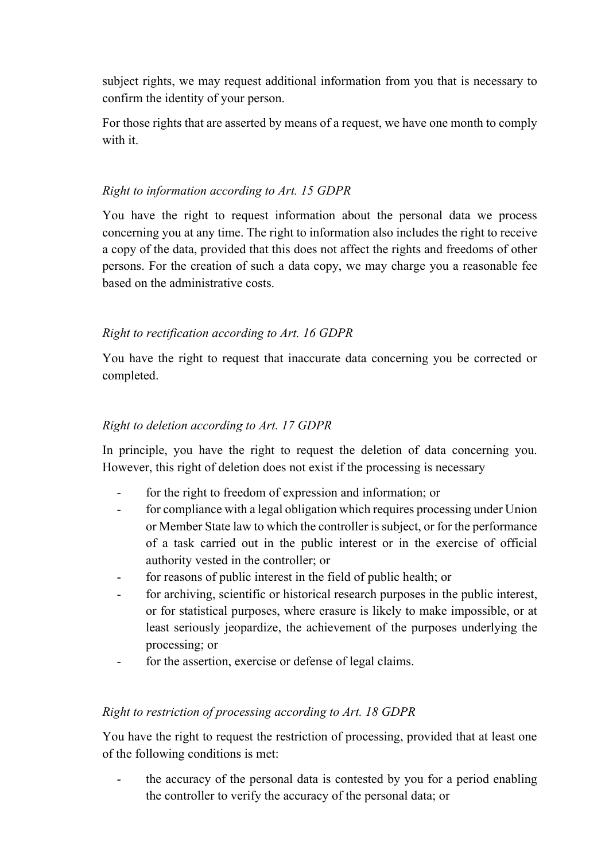subject rights, we may request additional information from you that is necessary to confirm the identity of your person.

For those rights that are asserted by means of a request, we have one month to comply with it.

## *Right to information according to Art. 15 GDPR*

You have the right to request information about the personal data we process concerning you at any time. The right to information also includes the right to receive a copy of the data, provided that this does not affect the rights and freedoms of other persons. For the creation of such a data copy, we may charge you a reasonable fee based on the administrative costs.

## *Right to rectification according to Art. 16 GDPR*

You have the right to request that inaccurate data concerning you be corrected or completed.

## *Right to deletion according to Art. 17 GDPR*

In principle, you have the right to request the deletion of data concerning you. However, this right of deletion does not exist if the processing is necessary

- for the right to freedom of expression and information; or
- for compliance with a legal obligation which requires processing under Union or Member State law to which the controller is subject, or for the performance of a task carried out in the public interest or in the exercise of official authority vested in the controller; or
- for reasons of public interest in the field of public health; or
- for archiving, scientific or historical research purposes in the public interest, or for statistical purposes, where erasure is likely to make impossible, or at least seriously jeopardize, the achievement of the purposes underlying the processing; or
- for the assertion, exercise or defense of legal claims.

## *Right to restriction of processing according to Art. 18 GDPR*

You have the right to request the restriction of processing, provided that at least one of the following conditions is met:

the accuracy of the personal data is contested by you for a period enabling the controller to verify the accuracy of the personal data; or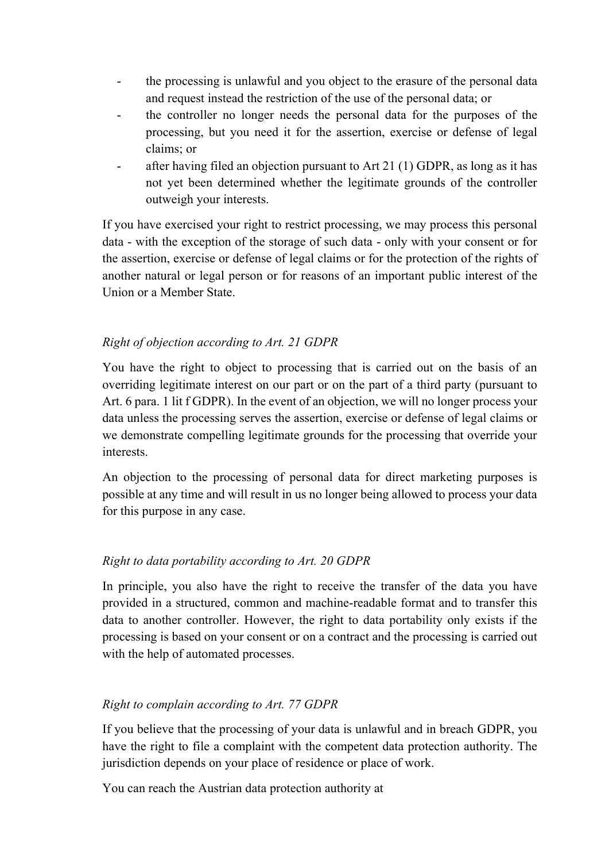- the processing is unlawful and you object to the erasure of the personal data and request instead the restriction of the use of the personal data; or
- the controller no longer needs the personal data for the purposes of the processing, but you need it for the assertion, exercise or defense of legal claims; or
- after having filed an objection pursuant to Art 21 (1) GDPR, as long as it has not yet been determined whether the legitimate grounds of the controller outweigh your interests.

If you have exercised your right to restrict processing, we may process this personal data - with the exception of the storage of such data - only with your consent or for the assertion, exercise or defense of legal claims or for the protection of the rights of another natural or legal person or for reasons of an important public interest of the Union or a Member State.

# *Right of objection according to Art. 21 GDPR*

You have the right to object to processing that is carried out on the basis of an overriding legitimate interest on our part or on the part of a third party (pursuant to Art. 6 para. 1 lit f GDPR). In the event of an objection, we will no longer process your data unless the processing serves the assertion, exercise or defense of legal claims or we demonstrate compelling legitimate grounds for the processing that override your interests.

An objection to the processing of personal data for direct marketing purposes is possible at any time and will result in us no longer being allowed to process your data for this purpose in any case.

## *Right to data portability according to Art. 20 GDPR*

In principle, you also have the right to receive the transfer of the data you have provided in a structured, common and machine-readable format and to transfer this data to another controller. However, the right to data portability only exists if the processing is based on your consent or on a contract and the processing is carried out with the help of automated processes.

## *Right to complain according to Art. 77 GDPR*

If you believe that the processing of your data is unlawful and in breach GDPR, you have the right to file a complaint with the competent data protection authority. The jurisdiction depends on your place of residence or place of work.

You can reach the Austrian data protection authority at